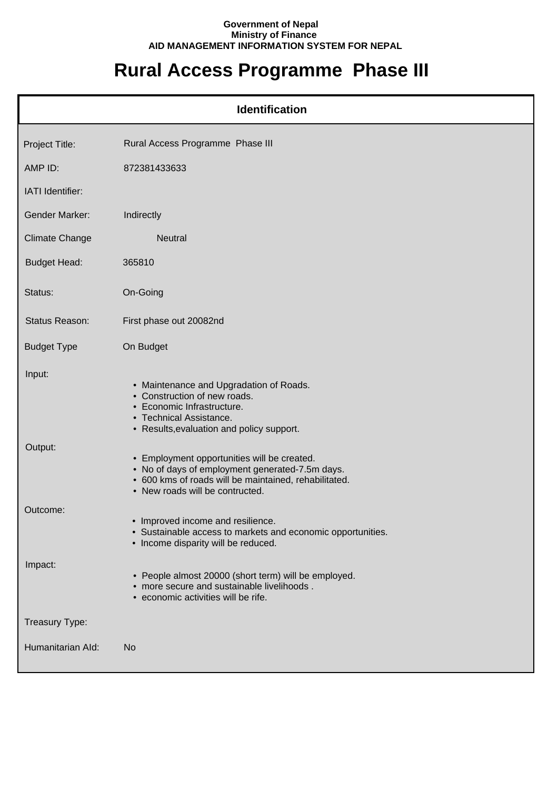## **Government of Nepal Ministry of Finance AID MANAGEMENT INFORMATION SYSTEM FOR NEPAL**

## **Rural Access Programme Phase III**

| <b>Identification</b> |                                                                                                                                                                                            |  |  |
|-----------------------|--------------------------------------------------------------------------------------------------------------------------------------------------------------------------------------------|--|--|
| Project Title:        | Rural Access Programme Phase III                                                                                                                                                           |  |  |
| AMP ID:               | 872381433633                                                                                                                                                                               |  |  |
| IATI Identifier:      |                                                                                                                                                                                            |  |  |
| <b>Gender Marker:</b> | Indirectly                                                                                                                                                                                 |  |  |
| <b>Climate Change</b> | <b>Neutral</b>                                                                                                                                                                             |  |  |
| <b>Budget Head:</b>   | 365810                                                                                                                                                                                     |  |  |
| Status:               | On-Going                                                                                                                                                                                   |  |  |
| Status Reason:        | First phase out 20082nd                                                                                                                                                                    |  |  |
| <b>Budget Type</b>    | On Budget                                                                                                                                                                                  |  |  |
| Input:                | • Maintenance and Upgradation of Roads.<br>• Construction of new roads.<br>• Economic Infrastructure.<br>• Technical Assistance.<br>• Results, evaluation and policy support.              |  |  |
| Output:               | • Employment opportunities will be created.<br>• No of days of employment generated-7.5m days.<br>· 600 kms of roads will be maintained, rehabilitated.<br>• New roads will be contructed. |  |  |
| Outcome:              | • Improved income and resilience.<br>• Sustainable access to markets and economic opportunities.<br>• Income disparity will be reduced.                                                    |  |  |
| Impact:               | • People almost 20000 (short term) will be employed.<br>• more secure and sustainable livelihoods.<br>• economic activities will be rife.                                                  |  |  |
| Treasury Type:        |                                                                                                                                                                                            |  |  |
| Humanitarian Ald:     | <b>No</b>                                                                                                                                                                                  |  |  |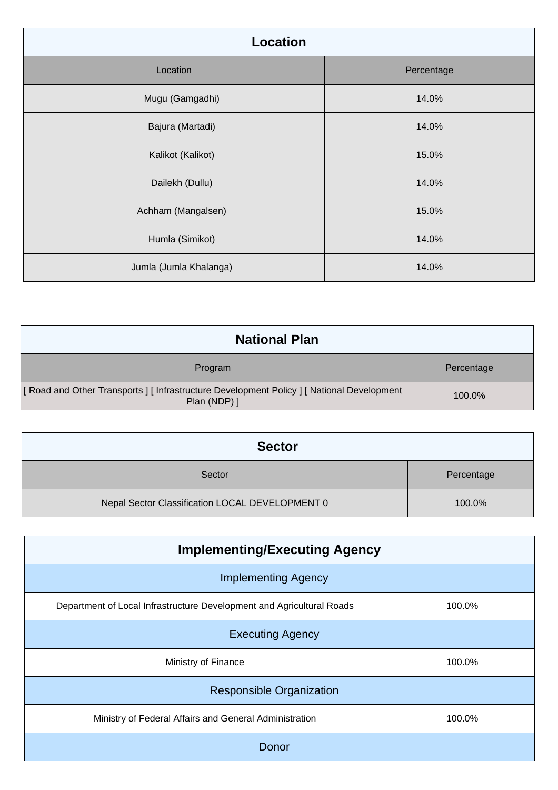| <b>Location</b>        |            |
|------------------------|------------|
| Location               | Percentage |
| Mugu (Gamgadhi)        | 14.0%      |
| Bajura (Martadi)       | 14.0%      |
| Kalikot (Kalikot)      | 15.0%      |
| Dailekh (Dullu)        | 14.0%      |
| Achham (Mangalsen)     | 15.0%      |
| Humla (Simikot)        | 14.0%      |
| Jumla (Jumla Khalanga) | 14.0%      |

| <b>National Plan</b>                                                                                         |            |
|--------------------------------------------------------------------------------------------------------------|------------|
| Program                                                                                                      | Percentage |
| [ Road and Other Transports ] [ Infrastructure Development Policy ] [ National Development  <br>Plan (NDP) ] | 100.0%     |

| <b>Sector</b>                                   |            |
|-------------------------------------------------|------------|
| Sector                                          | Percentage |
| Nepal Sector Classification LOCAL DEVELOPMENT 0 | 100.0%     |

| <b>Implementing/Executing Agency</b>                                  |        |
|-----------------------------------------------------------------------|--------|
| <b>Implementing Agency</b>                                            |        |
| Department of Local Infrastructure Development and Agricultural Roads | 100.0% |
| <b>Executing Agency</b>                                               |        |
| Ministry of Finance                                                   | 100.0% |
| <b>Responsible Organization</b>                                       |        |
| Ministry of Federal Affairs and General Administration                | 100.0% |
| Donor                                                                 |        |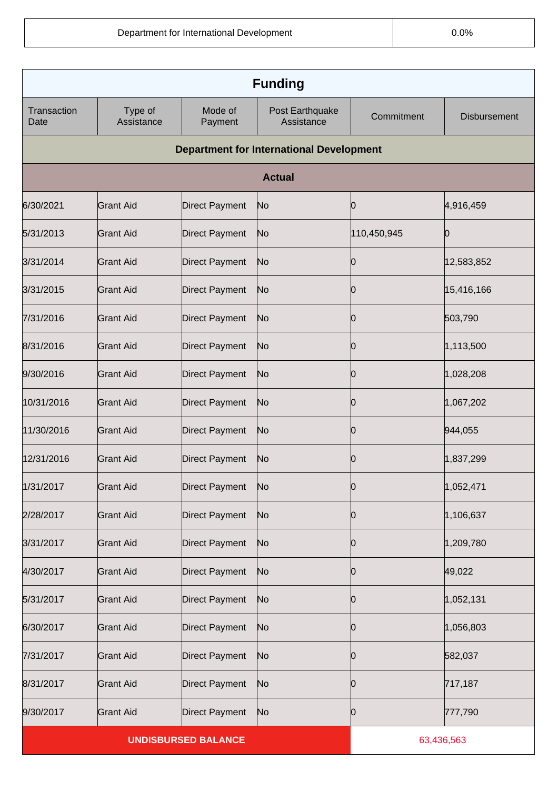|                            | <b>Funding</b>        |                       |                                                 |             |                     |
|----------------------------|-----------------------|-----------------------|-------------------------------------------------|-------------|---------------------|
| Transaction<br>Date        | Type of<br>Assistance | Mode of<br>Payment    | Post Earthquake<br>Assistance                   | Commitment  | <b>Disbursement</b> |
|                            |                       |                       | <b>Department for International Development</b> |             |                     |
|                            |                       |                       | <b>Actual</b>                                   |             |                     |
| 6/30/2021                  | <b>Grant Aid</b>      | Direct Payment        | No                                              | 10          | 4,916,459           |
| 5/31/2013                  | <b>Grant Aid</b>      | Direct Payment        | No                                              | 110,450,945 |                     |
| 3/31/2014                  | <b>Grant Aid</b>      | Direct Payment        | No                                              | 10          | 12,583,852          |
| 3/31/2015                  | <b>Grant Aid</b>      | Direct Payment        | No                                              | 10          | 15,416,166          |
| 7/31/2016                  | <b>Grant Aid</b>      | <b>Direct Payment</b> | No                                              | 10          | 503,790             |
| 8/31/2016                  | <b>Grant Aid</b>      | Direct Payment        | No                                              | 10          | 1,113,500           |
| 9/30/2016                  | Grant Aid             | Direct Payment        | No                                              | 10          | 1,028,208           |
| 10/31/2016                 | <b>Grant Aid</b>      | Direct Payment        | No                                              | 10          | 1,067,202           |
| 11/30/2016                 | Grant Aid             | Direct Payment        | No                                              | 10          | 944,055             |
| 12/31/2016                 | <b>Grant Aid</b>      | Direct Payment        | No                                              | 10          | 1,837,299           |
| 1/31/2017                  | <b>Grant Aid</b>      | Direct Payment        | No                                              | n           | 1,052,471           |
| 2/28/2017                  | <b>Grant Aid</b>      | <b>Direct Payment</b> | N <sub>o</sub>                                  | 0           | 1,106,637           |
| 3/31/2017                  | <b>Grant Aid</b>      | Direct Payment        | No                                              | Ю           | 1,209,780           |
| 4/30/2017                  | <b>Grant Aid</b>      | Direct Payment        | No                                              | 10          | 49,022              |
| 5/31/2017                  | <b>Grant Aid</b>      | Direct Payment        | No                                              | Ю           | 1,052,131           |
| 6/30/2017                  | <b>Grant Aid</b>      | Direct Payment        | No                                              | 10          | 1,056,803           |
| 7/31/2017                  | <b>Grant Aid</b>      | Direct Payment        | No                                              | Ю           | 582,037             |
| 8/31/2017                  | <b>Grant Aid</b>      | <b>Direct Payment</b> | No                                              | 10          | 717,187             |
| 9/30/2017                  | <b>Grant Aid</b>      | Direct Payment        | N <sub>o</sub>                                  | Ю           | 777,790             |
| <b>UNDISBURSED BALANCE</b> |                       |                       | 63,436,563                                      |             |                     |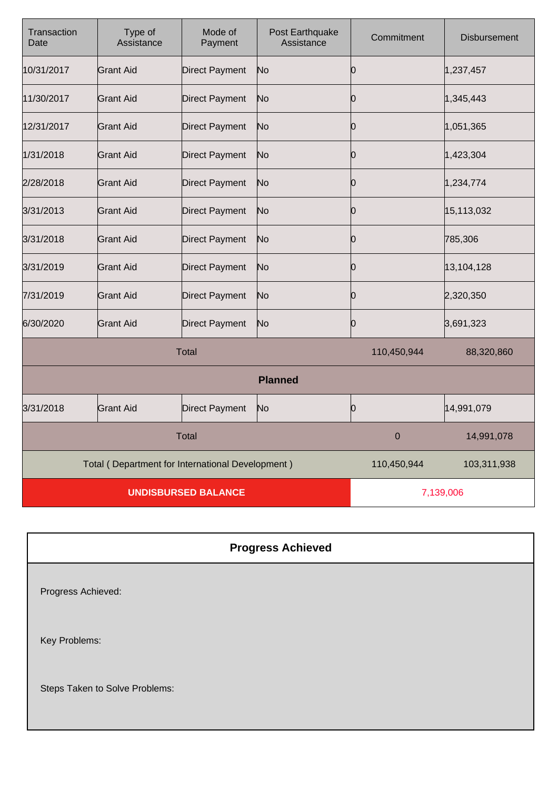| Transaction<br>Date        | Type of<br>Assistance                            | Mode of<br>Payment    | Post Earthquake<br>Assistance | Commitment  | <b>Disbursement</b> |
|----------------------------|--------------------------------------------------|-----------------------|-------------------------------|-------------|---------------------|
| 10/31/2017                 | Grant Aid                                        | <b>Direct Payment</b> | No                            | 0           | 1,237,457           |
| 11/30/2017                 | lGrant Aid                                       | <b>Direct Payment</b> | N <sub>o</sub>                | 0           | 1,345,443           |
| 12/31/2017                 | <b>Grant Aid</b>                                 | <b>Direct Payment</b> | N <sub>o</sub>                | 0           | 1,051,365           |
| 1/31/2018                  | Grant Aid                                        | <b>Direct Payment</b> | No                            | 0           | 1,423,304           |
| 2/28/2018                  | <b>Grant Aid</b>                                 | <b>Direct Payment</b> | N <sub>o</sub>                | 0           | 1,234,774           |
| 3/31/2013                  | <b>Grant Aid</b>                                 | <b>Direct Payment</b> | No                            | 0           | 15,113,032          |
| 3/31/2018                  | <b>Grant Aid</b>                                 | <b>Direct Payment</b> | No                            | 0           | 785,306             |
| 3/31/2019                  | Grant Aid                                        | <b>Direct Payment</b> | N <sub>o</sub>                | 0           | 13,104,128          |
| 7/31/2019                  | lGrant Aid                                       | <b>Direct Payment</b> | No                            | 0           | 2,320,350           |
| 6/30/2020                  | <b>Grant Aid</b>                                 | <b>Direct Payment</b> | No                            | Ю           | 3,691,323           |
| <b>Total</b>               |                                                  |                       | 110,450,944                   | 88,320,860  |                     |
| <b>Planned</b>             |                                                  |                       |                               |             |                     |
| 3/31/2018                  | <b>Grant Aid</b>                                 | <b>Direct Payment</b> | No                            | 0           | 14,991,079          |
| <b>Total</b>               |                                                  |                       | $\boldsymbol{0}$              | 14,991,078  |                     |
|                            | Total (Department for International Development) |                       |                               | 110,450,944 | 103,311,938         |
| <b>UNDISBURSED BALANCE</b> |                                                  |                       | 7,139,006                     |             |                     |

## **Progress Achieved**

Progress Achieved:

Key Problems:

Steps Taken to Solve Problems: